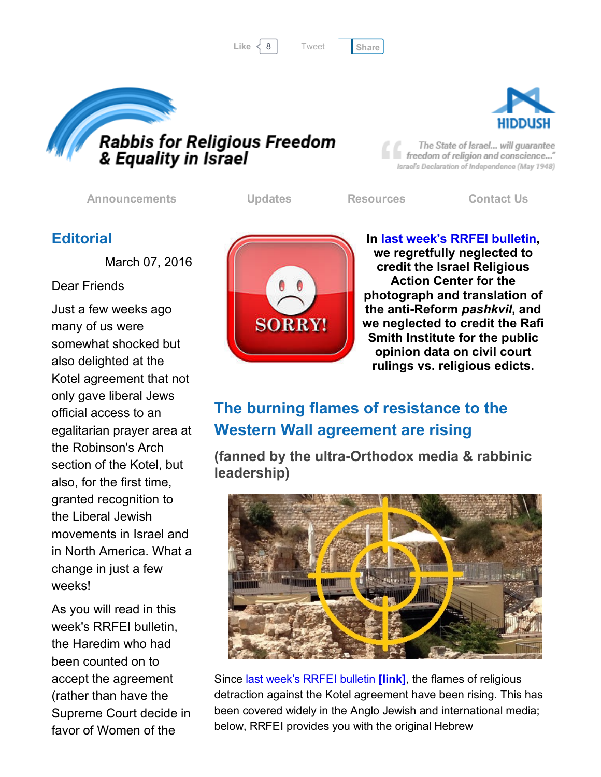Like 8 [Share](javascript:void(0);)

[Tweet](https://twitter.com/intent/tweet?original_referer=http%3A%2F%2Fhosted.verticalresponse.com%2F577764%2F5ca1b975b4%2F1468713333%2F325ceb4427%2F&ref_src=twsrc%5Etfw&text=Bulletin%3A%20Flames%20rising%20against%20Kotel%20agreement%3A&tw_p=tweetbutton&url=http%3A%2F%2Fhosted-p0.vresp.com%2F577764%2F5ca1b975b4%2FARCHIVE%23.Vt6TLJ855xI.twitter)





The State of Israel... will guarantee freedom of religion and conscience..." Israel's Declaration of Independence (May 1948)

[Announcements](http://cts.vresp.com/c/?FreedomofReligionfor/5ca1b975b4/325ceb4427/d471623d6b) [Updates](http://cts.vresp.com/c/?FreedomofReligionfor/5ca1b975b4/325ceb4427/2b76574360) [Resources](http://cts.vresp.com/c/?FreedomofReligionfor/5ca1b975b4/325ceb4427/9e8aff213f) [Contact](http://cts.vresp.com/c/?FreedomofReligionfor/5ca1b975b4/325ceb4427/b4ca90002a) Us

#### **Editorial**

March 07, 2016

Dear Friends

Just a few weeks ago many of us were somewhat shocked but also delighted at the Kotel agreement that not only gave liberal Jews official access to an egalitarian prayer area at the Robinson's Arch section of the Kotel, but also, for the first time, granted recognition to the Liberal Jewish movements in Israel and in North America. What a change in just a few weeks!

As you will read in this week's RRFEI bulletin, the Haredim who had been counted on to accept the agreement (rather than have the Supreme Court decide in favor of Women of the



In last week's RRFEI [bulletin](http://cts.vresp.com/c/?FreedomofReligionfor/5ca1b975b4/325ceb4427/49255aa752), we regretfully neglected to credit the Israel Religious Action Center for the photograph and translation of the anti-Reform *pashkvil*, and we neglected to credit the Rafi Smith Institute for the public opinion data on civil court rulings vs. religious edicts.

# The burning flames of resistance to the Western Wall agreement are rising

(fanned by the ultra-Orthodox media & rabbinic leadership)



Since **last week's RRFEI [bulletin](http://cts.vresp.com/c/?FreedomofReligionfor/5ca1b975b4/325ceb4427/f8ab927401) [link]**, the flames of religious detraction against the Kotel agreement have been rising. This has been covered widely in the Anglo Jewish and international media; below, RRFEI provides you with the original Hebrew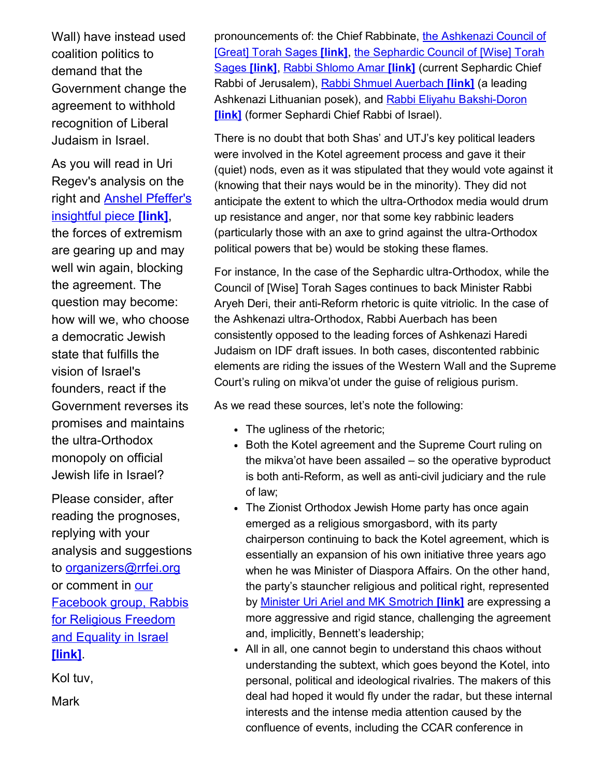Wall) have instead used coalition politics to demand that the Government change the agreement to withhold recognition of Liberal Judaism in Israel.

As you will read in Uri Regev's analysis on the right and Anshel Pfeffer's [insightful](http://cts.vresp.com/c/?FreedomofReligionfor/5ca1b975b4/325ceb4427/c0f0679c1e) piece **[link]**, the forces of extremism are gearing up and may well win again, blocking the agreement. The question may become: how will we, who choose a democratic Jewish state that fulfills the vision of Israel's founders, react if the Government reverses its promises and maintains the ultra-Orthodox monopoly on official Jewish life in Israel?

Please consider, after reading the prognoses, replying with your analysis and suggestions to [organizers@rrfei.org](mailto:organizers@rrfei.org) or comment in our [Facebook](http://cts.vresp.com/c/?FreedomofReligionfor/5ca1b975b4/325ceb4427/7fa0810b0b) group, Rabbis for Religious Freedom and Equality in Israel [link]

Kol tuv,

**Mark** 

[pronouncements](http://cts.vresp.com/c/?FreedomofReligionfor/5ca1b975b4/325ceb4427/cf88eb36c6) of: the Chief Rabbinate, the Ashkenazi Council of [Great] Torah Sages [link], the [Sephardic](http://cts.vresp.com/c/?FreedomofReligionfor/5ca1b975b4/325ceb4427/e6ba1a8fd6) Council of [Wise] Torah Sages [link], Rabbi [Shlomo](http://cts.vresp.com/c/?FreedomofReligionfor/5ca1b975b4/325ceb4427/89b58693be) Amar [link] (current Sephardic Chief Rabbi of Jerusalem), Rabbi Shmuel [Auerbach](http://cts.vresp.com/c/?FreedomofReligionfor/5ca1b975b4/325ceb4427/38aeef4b10) [link] (a leading Ashkenazi Lithuanian posek), and Rabbi Eliyahu Bakshi-Doron **[link]** (former Sephardi Chief Rabbi of Israel).

There is no doubt that both Shas' and UTJ's key political leaders were involved in the Kotel agreement process and gave it their (quiet) nods, even as it was stipulated that they would vote against it (knowing that their nays would be in the minority). They did not anticipate the extent to which the ultra-Orthodox media would drum up resistance and anger, nor that some key rabbinic leaders (particularly those with an axe to grind against the ultra-Orthodox political powers that be) would be stoking these flames.

For instance, In the case of the Sephardic ultra-Orthodox, while the Council of [Wise] Torah Sages continues to back Minister Rabbi Aryeh Deri, their anti-Reform rhetoric is quite vitriolic. In the case of the Ashkenazi ultra-Orthodox, Rabbi Auerbach has been consistently opposed to the leading forces of Ashkenazi Haredi Judaism on IDF draft issues. In both cases, discontented rabbinic elements are riding the issues of the Western Wall and the Supreme Court's ruling on mikva'ot under the guise of religious purism.

As we read these sources, let's note the following:

- The ugliness of the rhetoric;
- Both the Kotel agreement and the Supreme Court ruling on the mikva'ot have been assailed – so the operative byproduct is both anti-Reform, as well as anti-civil judiciary and the rule of law;
- The Zionist Orthodox Jewish Home party has once again emerged as a religious smorgasbord, with its party chairperson continuing to back the Kotel agreement, which is essentially an expansion of his own initiative three years ago when he was Minister of Diaspora Affairs. On the other hand, the party's stauncher religious and political right, represented by Minister Uri Ariel and MK [Smotrich](http://cts.vresp.com/c/?FreedomofReligionfor/5ca1b975b4/325ceb4427/b9d642ec05) [link] are expressing a more aggressive and rigid stance, challenging the agreement and, implicitly, Bennett's leadership;
- All in all, one cannot begin to understand this chaos without understanding the subtext, which goes beyond the Kotel, into personal, political and ideological rivalries. The makers of this deal had hoped it would fly under the radar, but these internal interests and the intense media attention caused by the confluence of events, including the CCAR conference in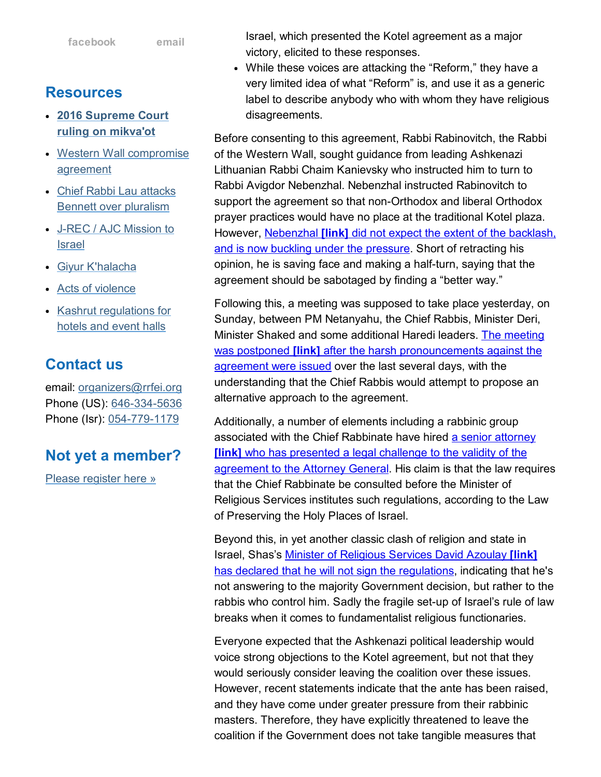- 2016 [Supreme](http://cts.vresp.com/c/?FreedomofReligionfor/5ca1b975b4/325ceb4427/efe3ec26b8) Court ruling on mikva'ot
- Western Wall [compromise](http://cts.vresp.com/c/?FreedomofReligionfor/5ca1b975b4/325ceb4427/a630a77e51) agreement
- Chief Rabbi Lau attacks Bennett over [pluralism](http://cts.vresp.com/c/?FreedomofReligionfor/5ca1b975b4/325ceb4427/44430fae1c)
- J-REC / AJC [Mission](http://cts.vresp.com/c/?FreedomofReligionfor/5ca1b975b4/325ceb4427/4f4c713293) to Israel
- Giyur [K'halacha](http://cts.vresp.com/c/?FreedomofReligionfor/5ca1b975b4/325ceb4427/88a0ac724b)
- Acts of [violence](http://cts.vresp.com/c/?FreedomofReligionfor/5ca1b975b4/325ceb4427/3395874f27)
- Kashrut [regulations](http://cts.vresp.com/c/?FreedomofReligionfor/5ca1b975b4/325ceb4427/4ef79f8422) for hotels and event halls

## Contact us

email: [organizers@rrfei.org](mailto:organizers@rrfei.org) Phone (US): 646-334-5636 Phone (Isr): 054-779-1179

### Not yet a member?

Please [register](http://cts.vresp.com/c/?FreedomofReligionfor/5ca1b975b4/325ceb4427/d1bb3685e3) here »

Israel, which presented the Kotel agreement as a major victory, elicited to these responses.

While these voices are attacking the "Reform," they have a very limited idea of what "Reform" is, and use it as a generic label to describe anybody who with whom they have religious disagreements.

Before consenting to this agreement, Rabbi Rabinovitch, the Rabbi of the Western Wall, sought guidance from leading Ashkenazi Lithuanian Rabbi Chaim Kanievsky who instructed him to turn to Rabbi Avigdor Nebenzhal. Nebenzhal instructed Rabinovitch to support the agreement so that non-Orthodox and liberal Orthodox prayer practices would have no place at the traditional Kotel plaza. However, [Nebenzhal](http://cts.vresp.com/c/?FreedomofReligionfor/5ca1b975b4/325ceb4427/5dcc35b209) *[link]* did not expect the extent of the backlash, and is now buckling under the pressure. Short of retracting his opinion, he is saving face and making a half-turn, saying that the agreement should be sabotaged by finding a "better way."

Following this, a meeting was supposed to take place yesterday, on Sunday, between PM Netanyahu, the Chief Rabbis, Minister Deri, Minister Shaked and some additional Haredi leaders. The meeting was postponed [link] after the harsh [pronouncements](http://cts.vresp.com/c/?FreedomofReligionfor/5ca1b975b4/325ceb4427/bf7e02d4b2) against the agreement were issued over the last several days, with the understanding that the Chief Rabbis would attempt to propose an alternative approach to the agreement.

Additionally, a number of elements including a rabbinic group associated with the Chief Rabbinate have hired a senior attorney [link] who has presented a legal challenge to the validity of the [agreement](http://cts.vresp.com/c/?FreedomofReligionfor/5ca1b975b4/325ceb4427/22c3dbb835) to the Attorney General. His claim is that the law requires that the Chief Rabbinate be consulted before the Minister of Religious Services institutes such regulations, according to the Law of Preserving the Holy Places of Israel.

Beyond this, in yet another classic clash of religion and state in Israel, Shas's Minister of Religious Services David Azoulay [link] has declared that he will not sign the [regulations,](http://cts.vresp.com/c/?FreedomofReligionfor/5ca1b975b4/325ceb4427/069033b045) indicating that he's not answering to the majority Government decision, but rather to the rabbis who control him. Sadly the fragile set-up of Israel's rule of law breaks when it comes to fundamentalist religious functionaries.

Everyone expected that the Ashkenazi political leadership would voice strong objections to the Kotel agreement, but not that they would seriously consider leaving the coalition over these issues. However, recent statements indicate that the ante has been raised, and they have come under greater pressure from their rabbinic masters. Therefore, they have explicitly threatened to leave the coalition if the Government does not take tangible measures that